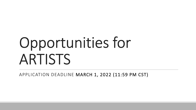# Opportunities for ARTISTS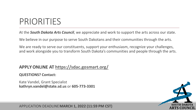# PRIORITIES

At the *South Dakota Arts Council*, we appreciate and work to support the arts across our state.

We believe in our purpose to serve South Dakotans and their communities through the arts.

We are ready to serve our constituents, support your enthusiasm, recognize your challenges, and work alongside you to transform South Dakota's communities and people through the arts.

#### **APPLY ONLINE AT <https://sdac.gosmart.org/>**

#### **QUESTIONS? Contact:**

Kate Vandel, Grant Specialist **kathryn.vandel@state.sd.us** or **605-773-3301** 

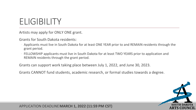## **ELIGIBILITY**

Artists may apply for ONLY ONE grant.

Grants for South Dakota residents:

- Applicants must live in South Dakota for at least ONE YEAR prior to and REMAIN residents through the grant period.
- FELLOWSHIP applicants must live in South Dakota for at least TWO YEARS prior to application and REMAIN residents through the grant period.

Grants can support work taking place between July 1, 2022, and June 30, 2023.

Grants CANNOT fund students, academic research, or formal studies towards a degree.

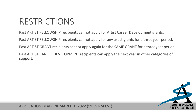## RESTRICTIONS

Past ARTIST FELLOWSHIP recipients cannot apply for Artist Career Development grants.

Past ARTIST FELLOWSHIP recipients cannot apply for any artist grants for a three-year period.

Past ARTIST GRANT recipients cannot apply again for the SAME GRANT for a threeyear period.

Past ARTIST CAREER DEVELOPMENT recipients can apply the next year in other categories of support.

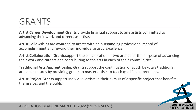### GRANTS

**Artist Career Development Grants** provide financial support to **any artists** committed to advancing their work and careers as artists.

**Artist Fellowships** are awarded to artists with an outstanding professional record of accomplishment and reward their individual artistic excellence.

**Artist Collaboration Grants** support the collaboration of two artists for the purpose of advancing their work and careers and contributing to the arts in each of their communities.

**Traditional Arts Apprenticeship Grants** support the continuation of South Dakota's traditional arts and cultures by providing grants to master artists to teach qualified apprentices.

**Artist Project Grants** support individual artists in their pursuit of a specific project that benefits themselves and the public.

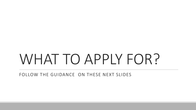# WHAT TO APPLY FOR?

FOLLOW THE GUIDANCE ON THESE NEXT SLIDES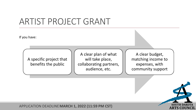### ARTIST PROJECT GRANT

If you have:

A specific project that benefits the public

A clear plan of what will take place, collaborating partners, audience, etc.

A clear budget, matching income to expenses, with community support

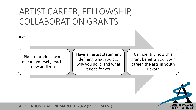### ARTIST CAREER, FELLOWSHIP, COLLABORATION GRANTS

If you:

Plan to produce work, market yourself, reach a new audience

Have an artist statement defining what you do, why you do it, and what it does for you

Can identify how this grant benefits you, your career, the arts in South Dakota

**ARTS COUNCIL**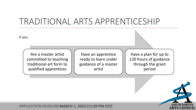#### TRADITIONAL ARTS APPRENTICESHIP

If you:

Are a master artist committed to teaching traditional art form to qualified apprentices

Have an apprentice ready to learn under guidance of a master artist

Have a plan for up to 120 hours of guidance through the grant period

**ARTS COUNCIL**